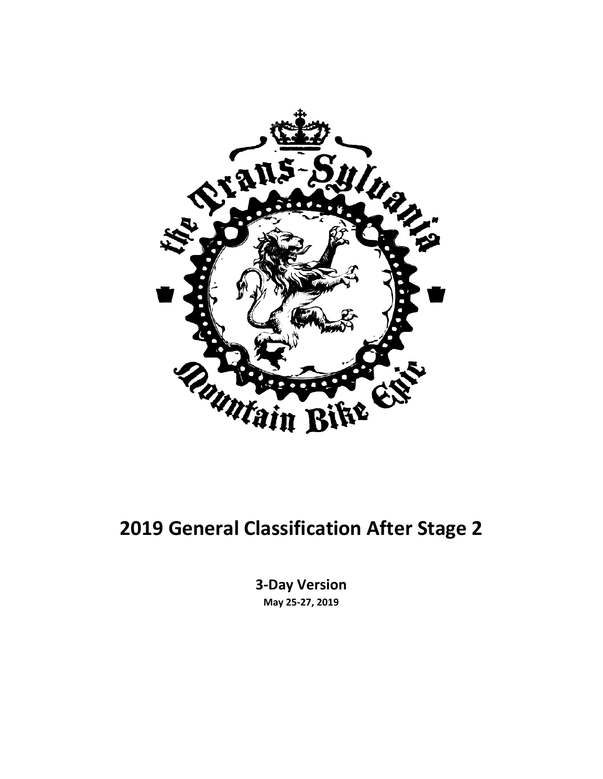

#### **2019 General Classification After Stage 2**

**3-Day Version May 25-27, 2019**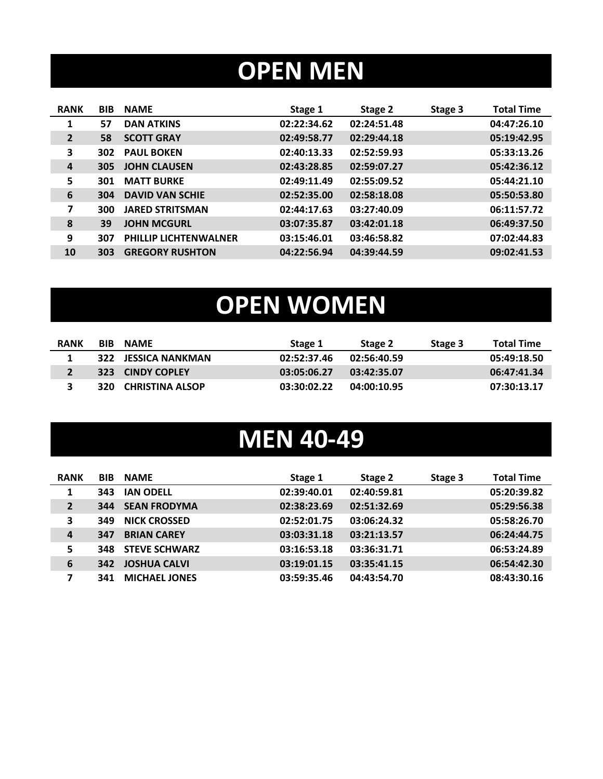# **OPEN MEN**

| <b>RANK</b>    | <b>BIB</b> | <b>NAME</b>                  | Stage 1     | Stage 2     | Stage 3 | <b>Total Time</b> |
|----------------|------------|------------------------------|-------------|-------------|---------|-------------------|
| 1              | 57         | <b>DAN ATKINS</b>            | 02:22:34.62 | 02:24:51.48 |         | 04:47:26.10       |
| $\overline{2}$ | 58         | <b>SCOTT GRAY</b>            | 02:49:58.77 | 02:29:44.18 |         | 05:19:42.95       |
| 3              | 302        | <b>PAUL BOKEN</b>            | 02:40:13.33 | 02:52:59.93 |         | 05:33:13.26       |
| $\overline{4}$ | 305        | <b>JOHN CLAUSEN</b>          | 02:43:28.85 | 02:59:07.27 |         | 05:42:36.12       |
| 5              | 301        | <b>MATT BURKE</b>            | 02:49:11.49 | 02:55:09.52 |         | 05:44:21.10       |
| 6              | 304        | <b>DAVID VAN SCHIE</b>       | 02:52:35.00 | 02:58:18.08 |         | 05:50:53.80       |
| 7              | 300        | <b>JARED STRITSMAN</b>       | 02:44:17.63 | 03:27:40.09 |         | 06:11:57.72       |
| 8              | 39         | <b>JOHN MCGURL</b>           | 03:07:35.87 | 03:42:01.18 |         | 06:49:37.50       |
| 9              | 307        | <b>PHILLIP LICHTENWALNER</b> | 03:15:46.01 | 03:46:58.82 |         | 07:02:44.83       |
| 10             | 303        | <b>GREGORY RUSHTON</b>       | 04:22:56.94 | 04:39:44.59 |         | 09:02:41.53       |
|                |            |                              |             |             |         |                   |

# **OPEN WOMEN**

| <b>RANK</b> | <b>BIB</b> | <b>NAMF</b>         | Stage 1     | Stage 2     | Stage 3 | <b>Total Time</b> |
|-------------|------------|---------------------|-------------|-------------|---------|-------------------|
|             |            | 322 JESSICA NANKMAN | 02:52:37.46 | 02:56:40.59 |         | 05:49:18.50       |
|             |            | 323 CINDY COPLEY    | 03:05:06.27 | 03:42:35.07 |         | 06:47:41.34       |
| 3           |            | 320 CHRISTINA ALSOP | 03:30:02.22 | 04:00:10.95 |         | 07:30:13.17       |

### **MEN 40-49**

| <b>RANK</b>      | <b>BIB</b> | <b>NAME</b>          | Stage 1     | Stage 2     | Stage 3 | <b>Total Time</b> |
|------------------|------------|----------------------|-------------|-------------|---------|-------------------|
| 1                | 343        | <b>IAN ODELL</b>     | 02:39:40.01 | 02:40:59.81 |         | 05:20:39.82       |
| $\overline{2}$   | 344        | <b>SEAN FRODYMA</b>  | 02:38:23.69 | 02:51:32.69 |         | 05:29:56.38       |
| 3                | 349        | <b>NICK CROSSED</b>  | 02:52:01.75 | 03:06:24.32 |         | 05:58:26.70       |
| $\boldsymbol{4}$ | 347        | <b>BRIAN CAREY</b>   | 03:03:31.18 | 03:21:13.57 |         | 06:24:44.75       |
| 5                | 348        | <b>STEVE SCHWARZ</b> | 03:16:53.18 | 03:36:31.71 |         | 06:53:24.89       |
| 6                | 342        | <b>JOSHUA CALVI</b>  | 03:19:01.15 | 03:35:41.15 |         | 06:54:42.30       |
| 7                | 341        | <b>MICHAEL JONES</b> | 03:59:35.46 | 04:43:54.70 |         | 08:43:30.16       |